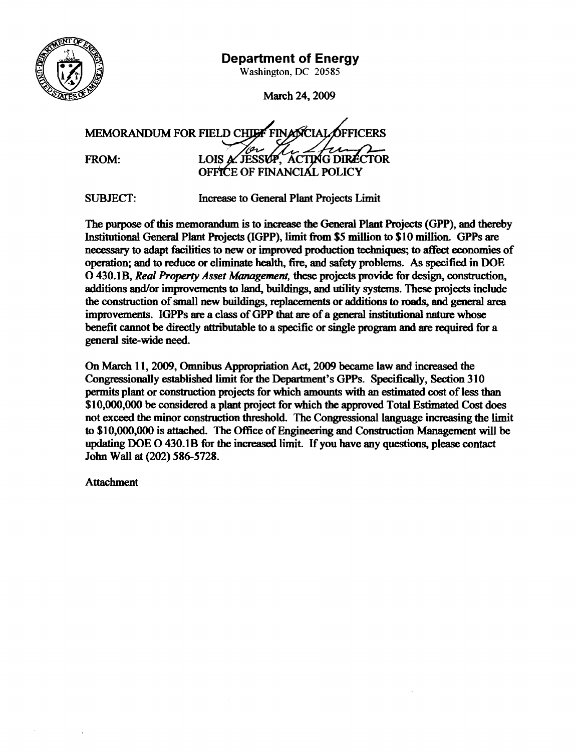

## **Department of Energy**

**Washington, DC 20585** 

March 24, 2009

CIAL OFFICER MEMORANDUM FOR FIELD CHU FROM: LOIS **A**.JESSUP, ACTING DIRECTOR

SUBJECT: **Increase** to General Plant Projects Limit

The purpose of this memorandum is to imxease **the General** Plant Projects (GPP), **and** thereby Institutional General Plant Projects (IGPP), limit from \$5 million to \$10 million. GPPs are necessary to adapt facilities to new or improved production techniques; to affect economies of operation; and to reduce or eliminate health, fire, and safety problems. As specified in DOE 0 430.1B, Real Property *Asset Management*, these projects provide for design, construction, additions **and/or** improvements to **larid, buildings, and** utility systems. **These** projects include the construction of small new buildings, replacements or additions to roads, and general area improvements. IGPPs **are** a class of GPP that **are** of a **general** institutional nature **whose**  benefit cannot be directly attributable to a specific or single program **and are** required for a general site-wide need.

On March 11, 2009, Omnibus Appropriation Act, 2009 became law and increased the Congressionally established limit for the Department's GPPs. Specifically, Section 310 permits plant or construction projects for which amounts with an estimated cost of less than \$10,000,000 be considered a plant project **for** which the approved Total Estimated Cost does not exceed the minor construction threshold. The Congressional language increasing the limit to \$10,000,000 is attached. The Office of Engineering and Construction Management will be updating DOE O 430.1B for the increased limit. If you have any questions, please contact John Wall **at** (202) 586-5728.

**Attachment**